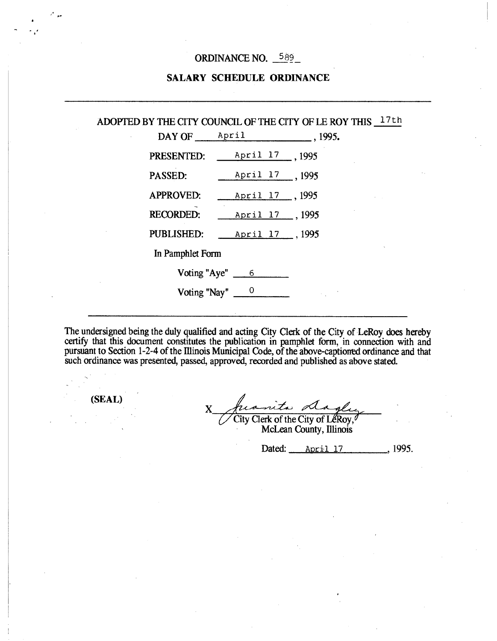### ORDINANCE NO. 589

### **SALARY SCHEDULE ORDINANCE**

# ADOPTED BY THE CITY COUNCIL OF THE CITY OF LE ROY THIS  $17th$

| DAY OF            | April                | . 1995. |
|-------------------|----------------------|---------|
| PRESENTED:        | April 17 _. 1995     |         |
| PASSED:           | April 17 1995        |         |
| <b>APPROVED:</b>  | April 17, 1995       |         |
| <b>RECORDED:</b>  | April 17 1995        |         |
| <b>PUBLISHED:</b> | April 17, 1995       |         |
| In Pamphlet Form  |                      |         |
|                   | Voting "Aye" $\_\_6$ |         |
| Voting "Nay"      |                      |         |

The undersigned being the duly qualified and acting City Clerk of the City of LeRoy does hereby certify that this document constitutes the publication in pamphlet form, in connection with and pursuant to Section 1-2-4 of the Illinois Municipal Code, of the above-captioned ordinance and that such ordinance was presented, passed, approved, recorded and published as above stated.

**(SEAL)** 

.

rita A X

City Clerk of the City of LeRoy, McLean County, Illinois

Dated: <u>April 17</u> 1995.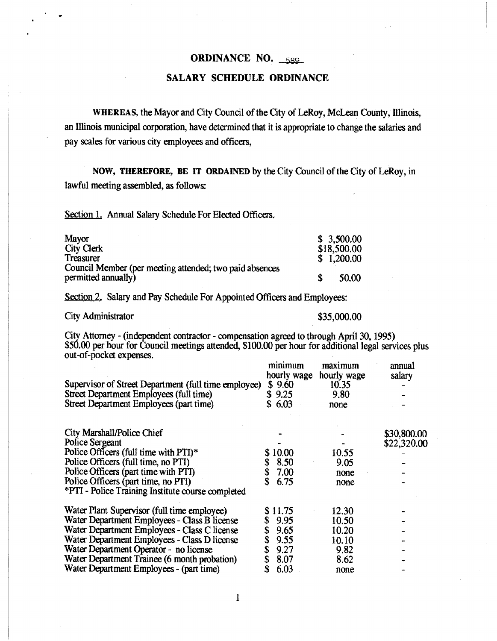## ORDINANCE NO. 589

#### SALARY SCHEDULE ORDINANCE

WHEREAS, the Mayor and City Council of the City of LeRoy, McLean County, Illinois,. an Illinois municipal corporation, have determined that it is appropriate to change the salaries and pay scales for various city employees and officers,

NOW, THEREFORE, BE IT ORDAINED by the City Council of the City of LeRoy, in lawful meeting assembled, as follows:

Section 1. Annual Salary Schedule For Elected Officers.

| Mayor                                                   | \$3,500.00  |
|---------------------------------------------------------|-------------|
| City Clerk                                              | \$18,500.00 |
| <b>Treasurer</b>                                        | \$1,200.00  |
| Council Member (per meeting attended; two paid absences |             |
| permitted annually)                                     | 50.00       |

Section 2. Salary and Pay Schedule For Appointed Officers and Employees:

City Administrator  $$35,000.00$ 

City Attorney - (independent contractor - compensation agreed to through April 30, 1995) \$50.00 per hour for Council meetings attended, \$100.00 per hour for additional legal services plus out-of-pocket expenses.

| Supervisor of Street Department (full time employee)<br>Street Department Employees (full time)<br>Street Department Employees (part time) | minimum<br>hourly wage<br>\$9.60<br>\$9.25<br>\$6.03 | maximum<br>hourly wage<br>10.35<br>9.80<br>none | annual<br>salary |
|--------------------------------------------------------------------------------------------------------------------------------------------|------------------------------------------------------|-------------------------------------------------|------------------|
| City Marshall/Police Chief                                                                                                                 |                                                      |                                                 | \$30,800.00      |
| Police Sergeant                                                                                                                            |                                                      |                                                 | \$22,320.00      |
| Police Officers (full time with PTI)*                                                                                                      | \$10.00                                              | 10.55                                           |                  |
| Police Officers (full time, no PTI)                                                                                                        | 8.50                                                 | 9.05                                            |                  |
| Police Officers (part time with PTI)                                                                                                       | 7.00                                                 | none                                            |                  |
| Police Officers (part time, no PTI)                                                                                                        | \$<br>6.75                                           | none                                            |                  |
| *PTI - Police Training Institute course completed                                                                                          |                                                      |                                                 |                  |
| Water Plant Supervisor (full time employee)                                                                                                | 11.75                                                | 12.30                                           |                  |
| Water Department Employees - Class B license                                                                                               | 9.95                                                 | 10.50                                           |                  |
| Water Department Employees - Class C license                                                                                               | 9.65                                                 | 10.20                                           |                  |
| Water Department Employees - Class D license                                                                                               | 9.55                                                 | 10.10                                           |                  |
| Water Department Operator - no license                                                                                                     | 9.27                                                 | 9.82                                            |                  |
| Water Department Trainee (6 month probation)                                                                                               | 8.07                                                 | 8.62                                            |                  |
| Water Department Employees - (part time)                                                                                                   | 6.03                                                 | none                                            |                  |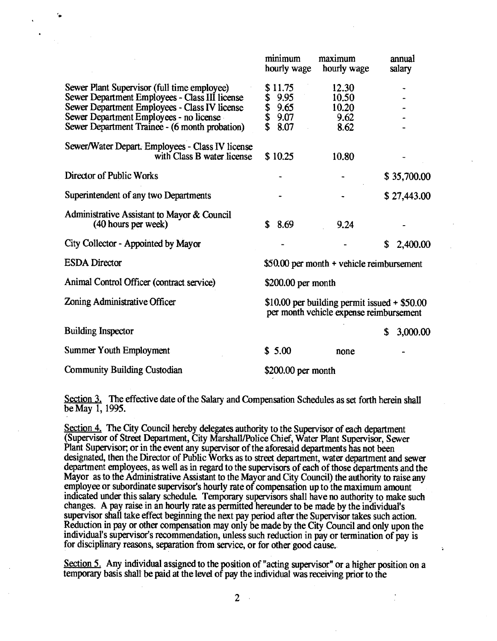|                                                                                                                                                                                                                                             | minimum<br>hourly wage                                                                    | maximum<br>hourly wage                  | annual<br>salary |
|---------------------------------------------------------------------------------------------------------------------------------------------------------------------------------------------------------------------------------------------|-------------------------------------------------------------------------------------------|-----------------------------------------|------------------|
| Sewer Plant Supervisor (full time employee)<br>Sewer Department Employees - Class III license<br>Sewer Department Employees - Class IV license<br>Sewer Department Employees - no license<br>Sewer Department Trainee - (6 month probation) | \$11.75<br>9.95<br>\$<br>9.65<br>\$<br>\$<br>9.07<br>8.07                                 | 12.30<br>10.50<br>10.20<br>9.62<br>8.62 |                  |
| Sewer/Water Depart. Employees - Class IV license<br>with Class B water license                                                                                                                                                              | \$10.25                                                                                   | 10.80                                   |                  |
| Director of Public Works                                                                                                                                                                                                                    |                                                                                           |                                         | \$35,700.00      |
| Superintendent of any two Departments                                                                                                                                                                                                       |                                                                                           |                                         | \$27,443.00      |
| Administrative Assistant to Mayor & Council<br>(40 hours per week)                                                                                                                                                                          | \$<br>8.69                                                                                | 9.24                                    |                  |
| City Collector - Appointed by Mayor                                                                                                                                                                                                         |                                                                                           |                                         | \$<br>2,400.00   |
| <b>ESDA</b> Director                                                                                                                                                                                                                        | $$50.00$ per month + vehicle reimbursement                                                |                                         |                  |
| Animal Control Officer (contract service)                                                                                                                                                                                                   | $$200.00$ per month                                                                       |                                         |                  |
| Zoning Administrative Officer                                                                                                                                                                                                               | \$10.00 per building permit issued $+$ \$50.00<br>per month vehicle expense reimbursement |                                         |                  |
| <b>Building Inspector</b>                                                                                                                                                                                                                   |                                                                                           |                                         | \$<br>3,000.00   |
| Summer Youth Employment                                                                                                                                                                                                                     | \$5.00                                                                                    | none                                    |                  |
| <b>Community Building Custodian</b>                                                                                                                                                                                                         | $$200.00$ per month                                                                       |                                         |                  |

Section 3. The effective date of the Salary and Compensation Schedules as set forth herein shall be May 1, 1995.

Section 4. The City Council hereby delegates authority to the Supervisor of each department (Supervisor of Street Department, City Marshall/Police Chief, Water Plant Supervisor, Sewer Plant Supervisor; or in the event any supervisor of the aforesaid departments has not been designated, then the Director of Public Works as to street department, water department and sewer department employees, as well as in regard to the supervisors of each of those departments and the Mayor as to the Administrative Assistant to the Mayor and City Council) the authority to raise any employee or subordinate supervisor's hourly rate of compensation up to the maximum amount indicated under this salary schedule. Temporary supervisors shall have no authority to make such changes. A pay raise in an hourly rate as permitted hereunder to be made by the individual's supervisor shall take effect beginning the next pay period after the Supervisor takes such action. Reduction in pay or other compensation may only be made by the City Council and only upon the individual's supervisor's recommendation, unless such reduction in pay or termination of pay is for disciplinary reasons, separation from service, or for other good cause..

Section 5. Any individual assigned to the position of "acting supervisor" or a higher position on a temporary basis shall be paid at the level of pay the individual was receiving prior to the

 $\mathbb{R}^2$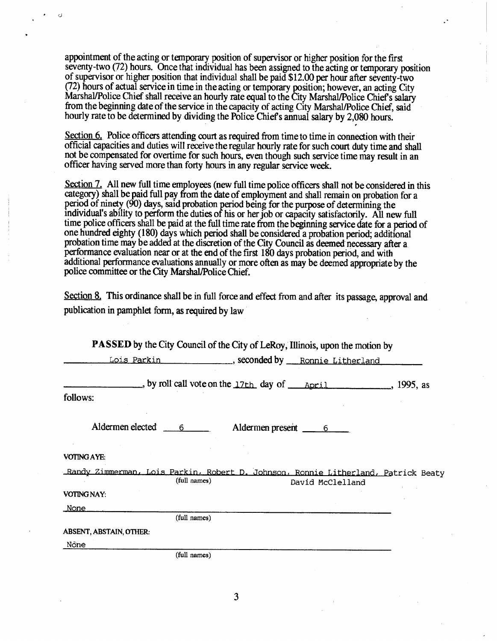appointment of the acting or temporary position of supervisor or higher position for the first seventy-two (72) hours. Once that individual has been assigned to the acting or temporary position of supervisor or higher position that individual shall be paid \$12.00 per hour after seventy-two (72) hours of actual service in time in the acting or temporary position; however, an acting City Marshal/Police Chief shall receive an hourly rate equal to the City Marshal/Police Chief s salary from the beginning date of the service in the capacity of acting City Marshal./Police Chief, said hourly rate to be determined by dividing the Police Chief s annual salary by 2,080 hours.

Section 6. Police officers attending court as required from time to time in connection with their official capacities and duties will receive the regular hourly rate for such court duty time and shall not be compensated for overtime for such hours, even though such service time may result in an officer having served more than forty hours in any regular service week.

Section 7. All new full time employees (new full time police officers shall not be considered in this category) shall be paid full pay from the date of employment and shall remain on probation for a period of ninety (90) days, said probation period being for the purpose of determining the individual's ability to perform the duties of his or her job or capacity satisfactorily. All new full time police officers shall be paid at the full time rate from the beginning service date for a period of one hundred eighty (180) days which period shall be considered a probation period; additional probation time may be added at the discretion of the City Council as deemed necessary after a. performance evaluation near or at the end of the first 180 days probation period, and with additional performance evaluations annually or more often as may be deemed appropriate by the police committee or the City Marshal/Police Chief.

Section 8. This ordinance shall be in full force and effect from and after its passage, approval and publication in pamphlet form, as required by law

| <b>PASSED</b> by the City Council of the City of LeRoy, Illinois, upon the motion by                                  |  |
|-----------------------------------------------------------------------------------------------------------------------|--|
| Lois Parkin _________________, seconded by ____ Ronnie Litherland                                                     |  |
| $\Box$ , by roll call vote on the 17th day of $\Box$ April 1995, as                                                   |  |
| follows:                                                                                                              |  |
| Aldermen elected 6<br>Aldermen present ________ 6                                                                     |  |
| <b>VOTING AYE:</b>                                                                                                    |  |
| Randy Zimmerman, Lois Parkin, Robert D. Johnson, Ronnie Litherland, Patrick Beaty<br>(full names)<br>David McClelland |  |
| VOTING NAY:                                                                                                           |  |
| <u>None</u>                                                                                                           |  |
| (full names)                                                                                                          |  |
| <b>ABSENT, ABSTAIN, OTHER:</b>                                                                                        |  |
| Nõne                                                                                                                  |  |
| (full names)                                                                                                          |  |

3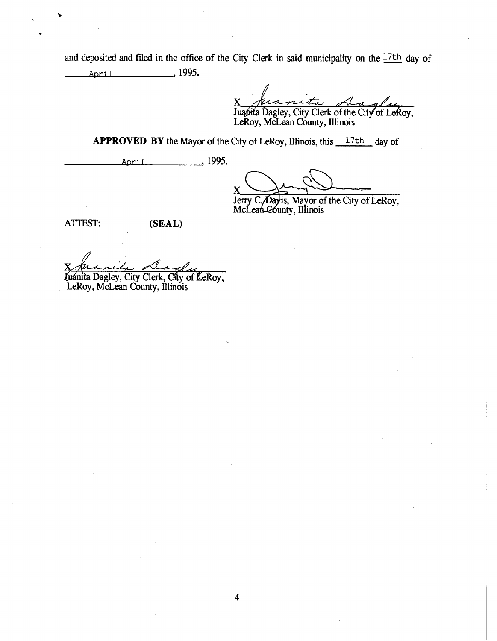and deposited and filed in the office of the City Clerk in said municipality on the 17th day of April , 1995.

X

Juanita Dagley, City Clerk of the City of LeRoy, LeRoy, McLean County, Illinois

**APPROVED BY** the Mayor of the City of LeRoy, Illinois, this 17th day of

4

April 1995.

X

Jerry C. Day is, Mayor of the City of LeRoy, McLean-County, Illinois

ATTEST: (SEAL)

v

Little Dagley, City Clerk, City of LeRoy,

LeRoy, McLean County, Illinois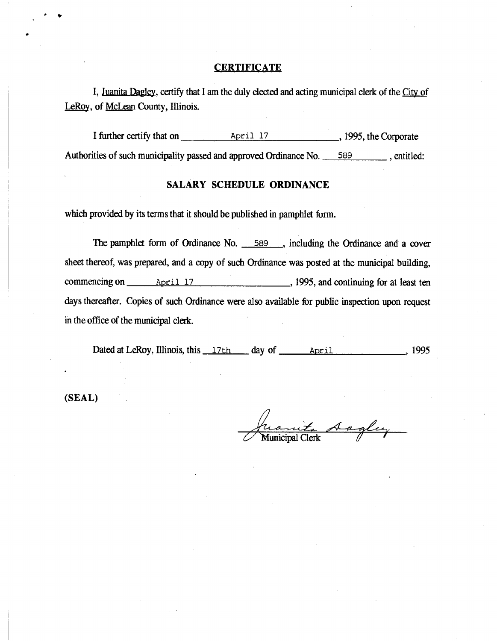#### **CERTIFICATE**

I, Juanita Dagley, certify that I am the duly elected and acting municipal clerk of the City of LeRoy, of McLean County, Illinois.

I further certify that on <u>April 17</u> , 1995, the Corporate Authorities of such municipality passed and approved Ordinance No. 589 , entitled:

#### **SALARY SCHEDULE ORDINANCE**

which provided by its terms that it should be published in pamphlet form.

The pamphlet form of Ordinance No. 589, including the Ordinance and a cover sheet thereof, was prepared, and a copy of such Ordinance was posted at the municipal building, commencing on <u>April 17</u> 4 and April 17 , 1995, and continuing for at least ten days thereafter. Copies of such Ordinance were also available for public inspection upon request in the office of the municipal clerk.

Dated at LeRoy, Illinois, this 17th day of April , 1995

**(SEAL)** 

ite sagley